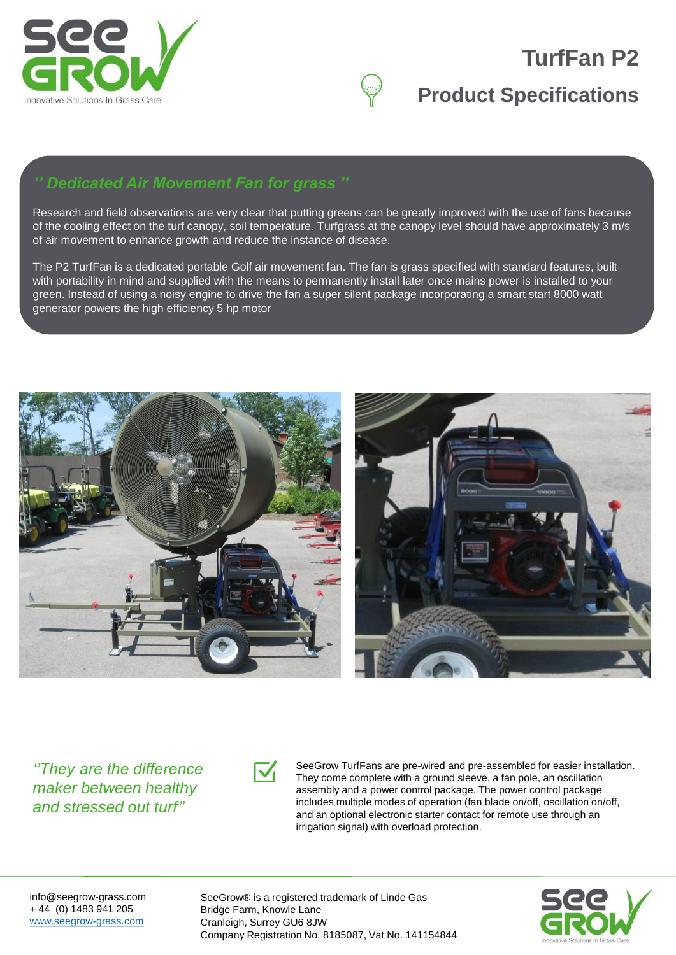

# **TurfFan P2**

## **Product Specifications**

### *'' Dedicated Air Movement Fan for grass ''*

Research and field observations are very clear that putting greens can be greatly improved with the use of fans because of the cooling effect on the turf canopy, soil temperature. Turfgrass at the canopy level should have approximately 3 m/s of air movement to enhance growth and reduce the instance of disease.

The P2 TurfFan is a dedicated portable Golf air movement fan. The fan is grass specified with standard features, built with portability in mind and supplied with the means to permanently install later once mains power is installed to your green. Instead of using a noisy engine to drive the fan a super silent package incorporating a smart start 8000 watt generator powers the high efficiency 5 hp motor





*''They are the difference maker between healthy and stressed out turf''*



SeeGrow TurfFans are pre-wired and pre-assembled for easier installation. They come complete with a ground sleeve, a fan pole, an oscillation assembly and a power control package. The power control package includes multiple modes of operation (fan blade on/off, oscillation on/off, and an optional electronic starter contact for remote use through an irrigation signal) with overload protection.

info@seegrow-grass.com + 44 (0) 1483 941 205 [www.seegrow-grass.com](http://www.seegrow-grass.com/)

SeeGrow® is a registered trademark of Linde Gas Bridge Farm, Knowle Lane Cranleigh, Surrey GU6 8JW Company Registration No. 8185087, Vat No. 141154844